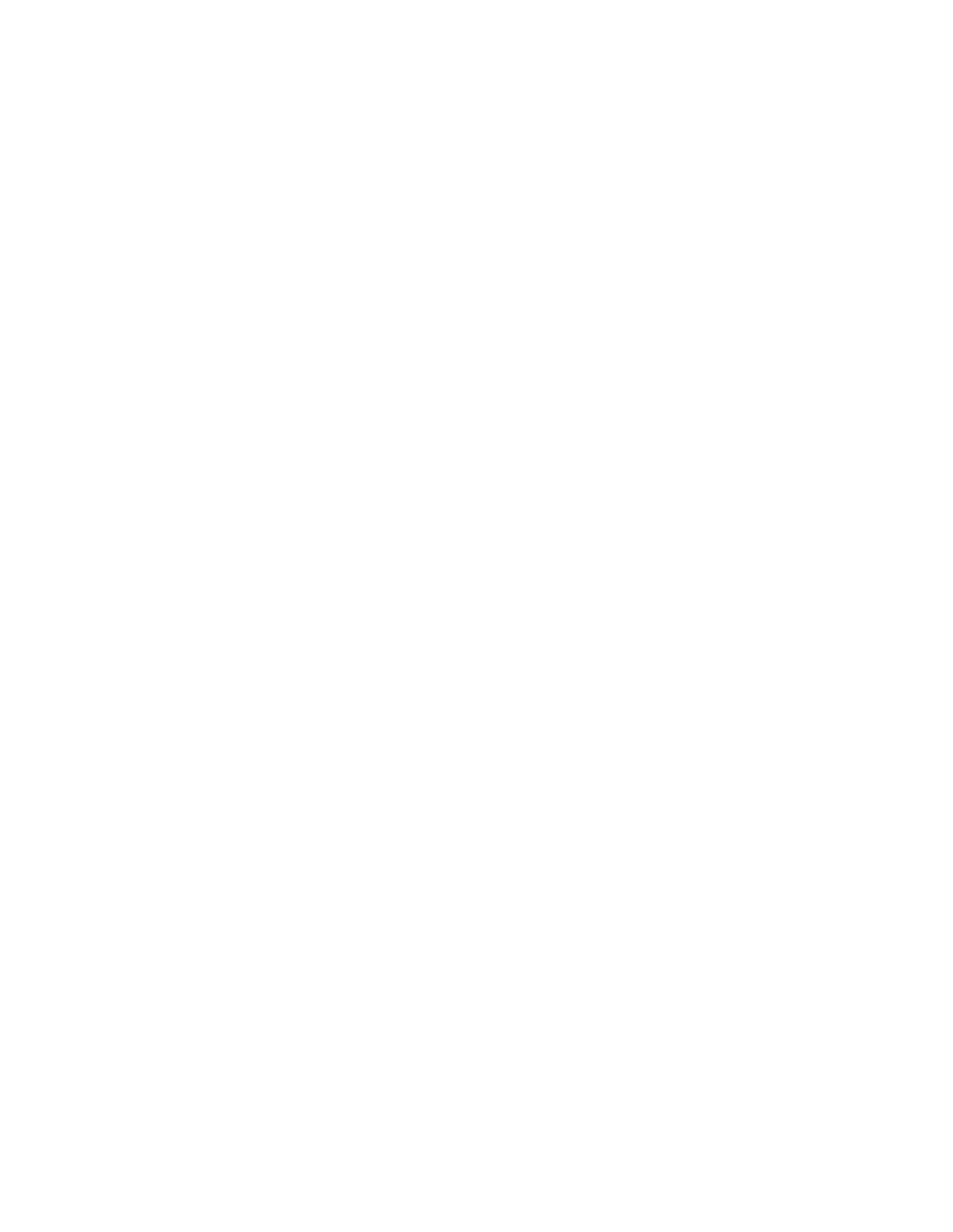# ※信|※信|※信|※信|※信|※信|※信|※信

# DANCE OF THE PRIDE LANDS

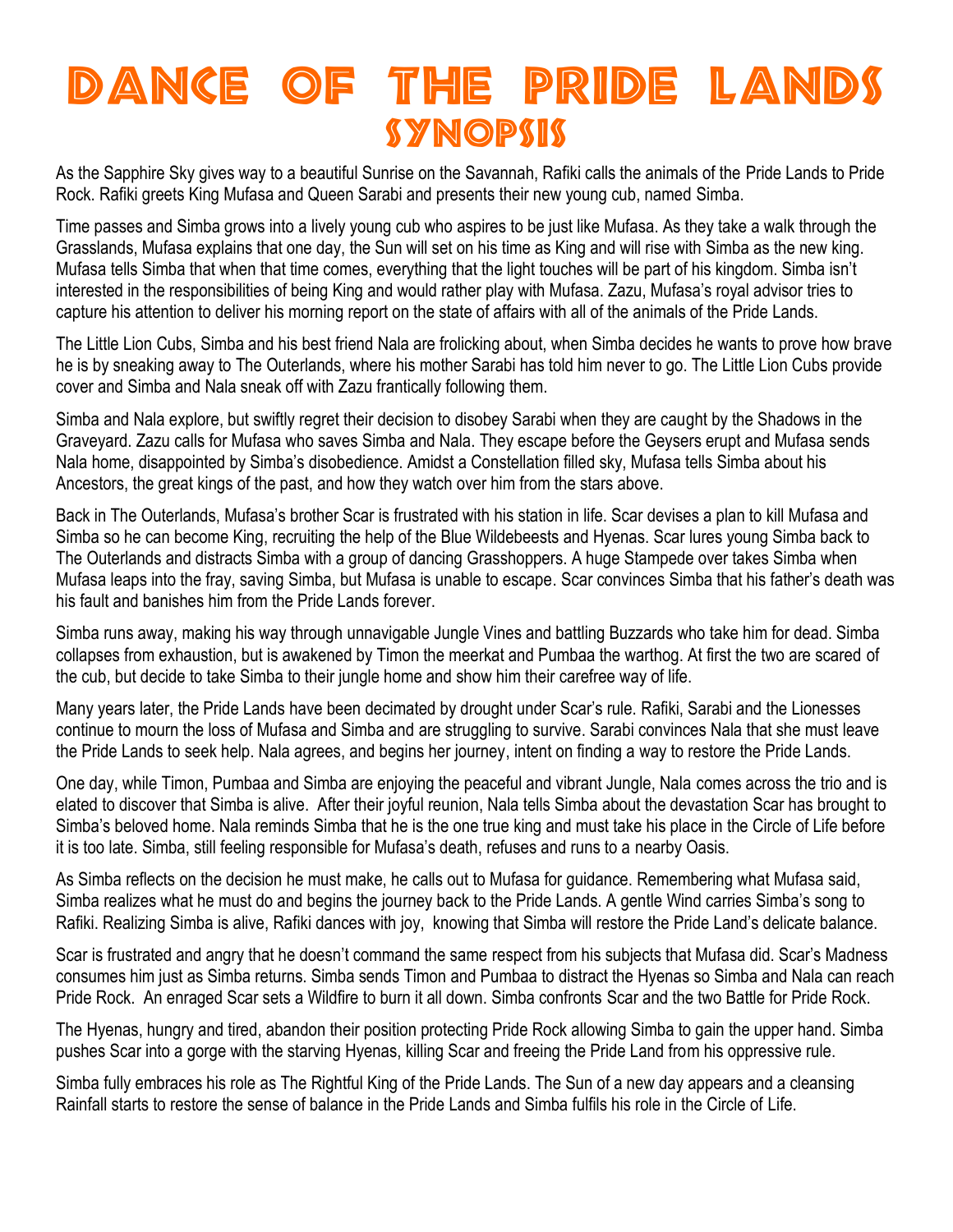# Dance of the Pride lands **SYNOPSIS**

As the Sapphire Sky gives way to a beautiful Sunrise on the Savannah, Rafiki calls the animals of the Pride Lands to Pride Rock. Rafiki greets King Mufasa and Queen Sarabi and presents their new young cub, named Simba.

Time passes and Simba grows into a lively young cub who aspires to be just like Mufasa. As they take a walk through the Grasslands, Mufasa explains that one day, the Sun will set on his time as King and will rise with Simba as the new king. Mufasa tells Simba that when that time comes, everything that the light touches will be part of his kingdom. Simba isn't interested in the responsibilities of being King and would rather play with Mufasa. Zazu, Mufasa's royal advisor tries to capture his attention to deliver his morning report on the state of affairs with all of the animals of the Pride Lands.

The Little Lion Cubs, Simba and his best friend Nala are frolicking about, when Simba decides he wants to prove how brave he is by sneaking away to The Outerlands, where his mother Sarabi has told him never to go. The Little Lion Cubs provide cover and Simba and Nala sneak off with Zazu frantically following them.

Simba and Nala explore, but swiftly regret their decision to disobey Sarabi when they are caught by the Shadows in the Graveyard. Zazu calls for Mufasa who saves Simba and Nala. They escape before the Geysers erupt and Mufasa sends Nala home, disappointed by Simba's disobedience. Amidst a Constellation filled sky, Mufasa tells Simba about his Ancestors, the great kings of the past, and how they watch over him from the stars above.

Back in The Outerlands, Mufasa's brother Scar is frustrated with his station in life. Scar devises a plan to kill Mufasa and Simba so he can become King, recruiting the help of the Blue Wildebeests and Hyenas. Scar lures young Simba back to The Outerlands and distracts Simba with a group of dancing Grasshoppers. A huge Stampede over takes Simba when Mufasa leaps into the fray, saving Simba, but Mufasa is unable to escape. Scar convinces Simba that his father's death was his fault and banishes him from the Pride Lands forever.

Simba runs away, making his way through unnavigable Jungle Vines and battling Buzzards who take him for dead. Simba collapses from exhaustion, but is awakened by Timon the meerkat and Pumbaa the warthog. At first the two are scared of the cub, but decide to take Simba to their jungle home and show him their carefree way of life.

Many years later, the Pride Lands have been decimated by drought under Scar's rule. Rafiki, Sarabi and the Lionesses continue to mourn the loss of Mufasa and Simba and are struggling to survive. Sarabi convinces Nala that she must leave the Pride Lands to seek help. Nala agrees, and begins her journey, intent on finding a way to restore the Pride Lands.

One day, while Timon, Pumbaa and Simba are enjoying the peaceful and vibrant Jungle, Nala comes across the trio and is elated to discover that Simba is alive. After their joyful reunion, Nala tells Simba about the devastation Scar has brought to Simba's beloved home. Nala reminds Simba that he is the one true king and must take his place in the Circle of Life before it is too late. Simba, still feeling responsible for Mufasa's death, refuses and runs to a nearby Oasis.

As Simba reflects on the decision he must make, he calls out to Mufasa for guidance. Remembering what Mufasa said, Simba realizes what he must do and begins the journey back to the Pride Lands. A gentle Wind carries Simba's song to Rafiki. Realizing Simba is alive, Rafiki dances with joy, knowing that Simba will restore the Pride Land's delicate balance.

Scar is frustrated and angry that he doesn't command the same respect from his subjects that Mufasa did. Scar's Madness consumes him just as Simba returns. Simba sends Timon and Pumbaa to distract the Hyenas so Simba and Nala can reach Pride Rock. An enraged Scar sets a Wildfire to burn it all down. Simba confronts Scar and the two Battle for Pride Rock.

The Hyenas, hungry and tired, abandon their position protecting Pride Rock allowing Simba to gain the upper hand. Simba pushes Scar into a gorge with the starving Hyenas, killing Scar and freeing the Pride Land from his oppressive rule.

Simba fully embraces his role as The Rightful King of the Pride Lands. The Sun of a new day appears and a cleansing Rainfall starts to restore the sense of balance in the Pride Lands and Simba fulfils his role in the Circle of Life.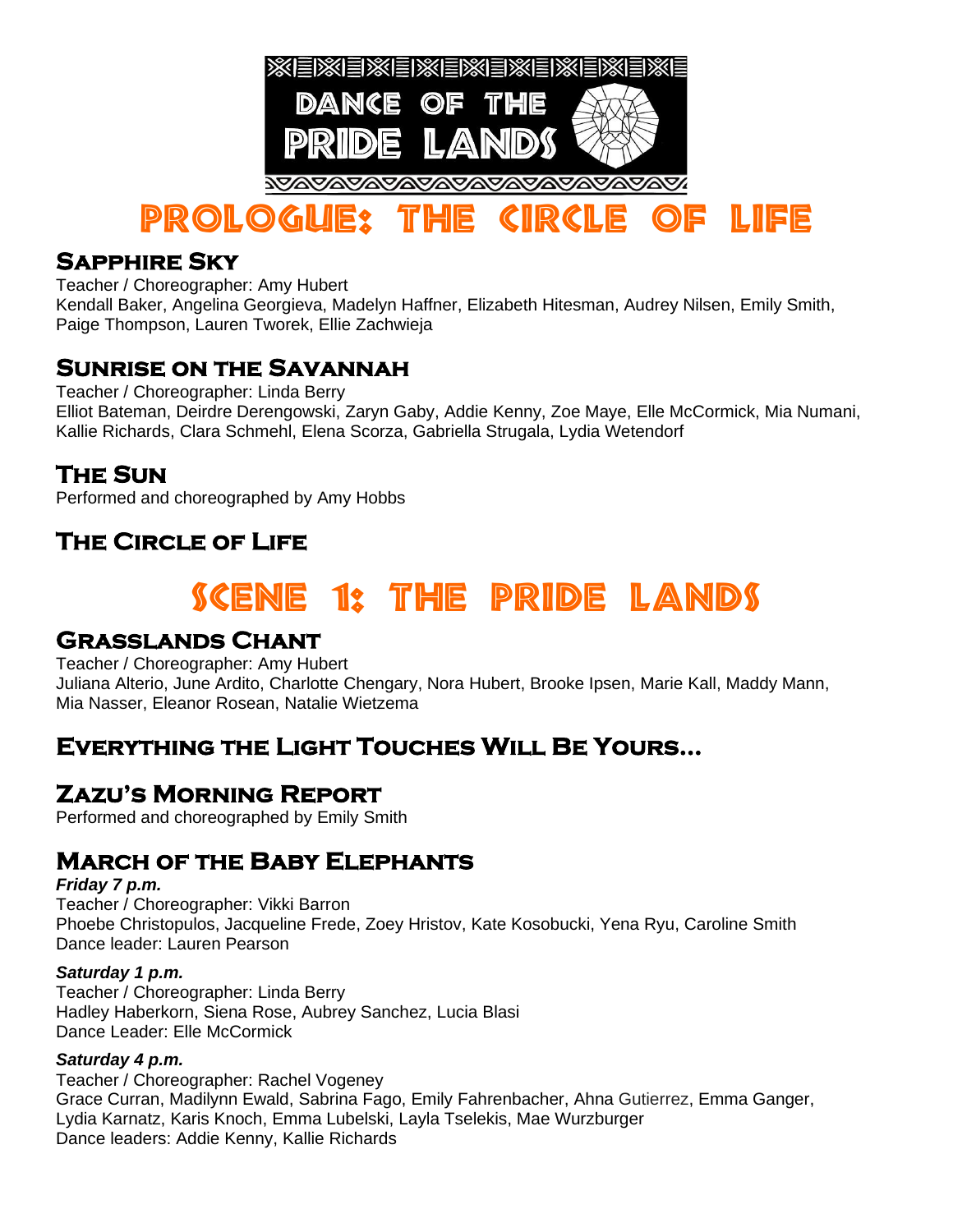

### **Sapphire Sky**

Teacher / Choreographer: Amy Hubert

Kendall Baker, Angelina Georgieva, Madelyn Haffner, Elizabeth Hitesman, Audrey Nilsen, Emily Smith, Paige Thompson, Lauren Tworek, Ellie Zachwieja

# **Sunrise on the Savannah**

Teacher / Choreographer: Linda Berry Elliot Bateman, Deirdre Derengowski, Zaryn Gaby, Addie Kenny, Zoe Maye, Elle McCormick, Mia Numani, Kallie Richards, Clara Schmehl, Elena Scorza, Gabriella Strugala, Lydia Wetendorf

# **The Sun**

Performed and choreographed by Amy Hobbs

# **The Circle of Life**

# SCENE 1: THE PRIDE LANDS

### **Grasslands Chant**

Teacher / Choreographer: Amy Hubert

Juliana Alterio, June Ardito, Charlotte Chengary, Nora Hubert, Brooke Ipsen, Marie Kall, Maddy Mann, Mia Nasser, Eleanor Rosean, Natalie Wietzema

# **Everything the Light Touches Will Be Yours…**

# **Zazu's Morning Report**

Performed and choreographed by Emily Smith

# **March of the Baby Elephants**

#### *Friday 7 p.m.*

Teacher / Choreographer: Vikki Barron Phoebe Christopulos, Jacqueline Frede, Zoey Hristov, Kate Kosobucki, Yena Ryu, Caroline Smith Dance leader: Lauren Pearson

#### *Saturday 1 p.m.*

Teacher / Choreographer: Linda Berry Hadley Haberkorn, Siena Rose, Aubrey Sanchez, Lucia Blasi Dance Leader: Elle McCormick

#### *Saturday 4 p.m.*

Teacher / Choreographer: Rachel Vogeney Grace Curran, Madilynn Ewald, Sabrina Fago, Emily Fahrenbacher, Ahna Gutierrez, Emma Ganger, Lydia Karnatz, Karis Knoch, Emma Lubelski, Layla Tselekis, Mae Wurzburger Dance leaders: Addie Kenny, Kallie Richards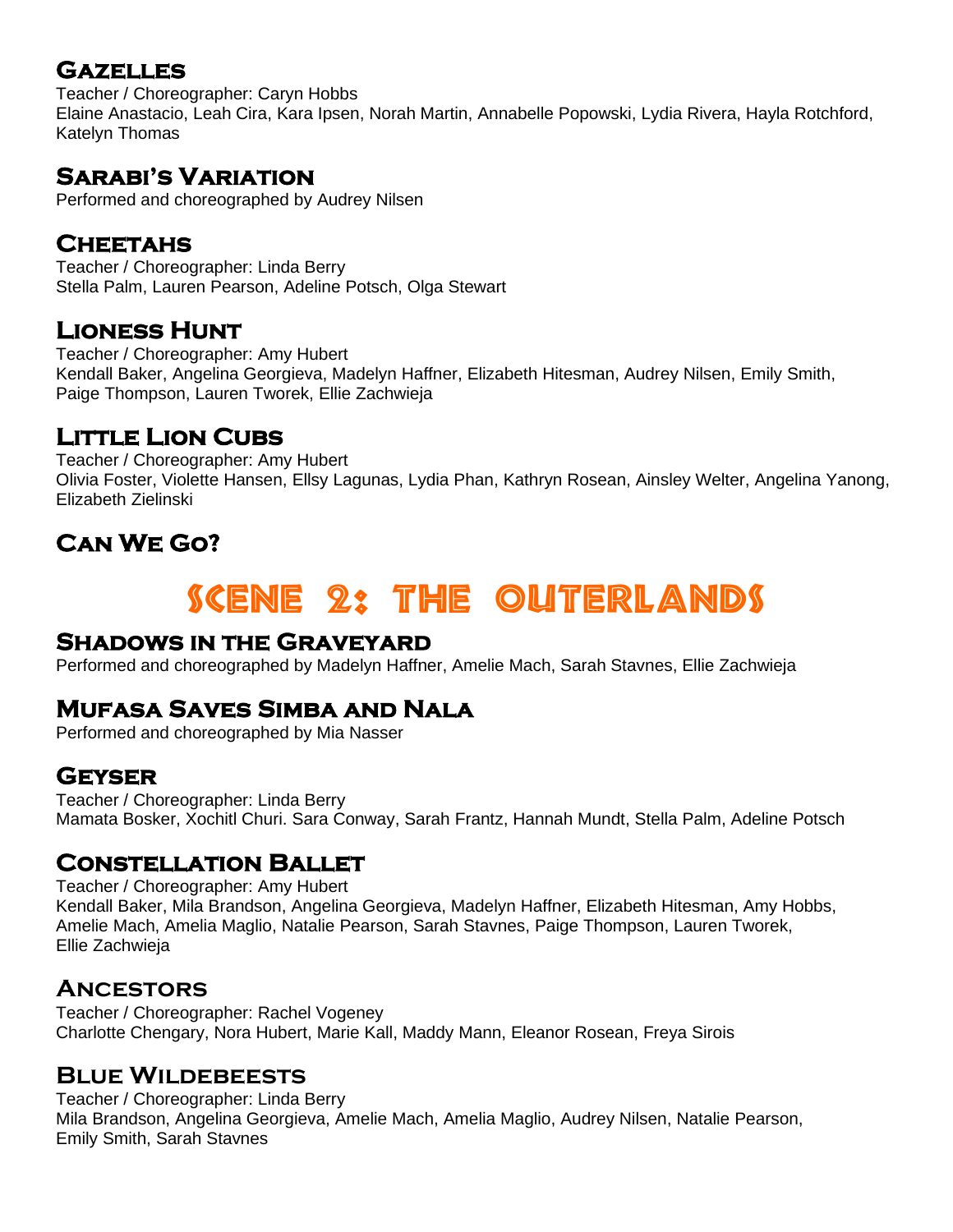## **Gazelles**

Teacher / Choreographer: Caryn Hobbs Elaine Anastacio, Leah Cira, Kara Ipsen, Norah Martin, Annabelle Popowski, Lydia Rivera, Hayla Rotchford, Katelyn Thomas

# **Sarabi's Variation**

Performed and choreographed by Audrey Nilsen

# **Cheetahs**

Teacher / Choreographer: Linda Berry Stella Palm, Lauren Pearson, Adeline Potsch, Olga Stewart

# **Lioness Hunt**

Teacher / Choreographer: Amy Hubert Kendall Baker, Angelina Georgieva, Madelyn Haffner, Elizabeth Hitesman, Audrey Nilsen, Emily Smith, Paige Thompson, Lauren Tworek, Ellie Zachwieja

# **Little Lion Cubs**

Teacher / Choreographer: Amy Hubert Olivia Foster, Violette Hansen, Ellsy Lagunas, Lydia Phan, Kathryn Rosean, Ainsley Welter, Angelina Yanong, Elizabeth Zielinski

# **Can We Go?**

# SCENE 2: THE OUTERLANDS

# **Shadows in the Graveyard**

Performed and choreographed by Madelyn Haffner, Amelie Mach, Sarah Stavnes, Ellie Zachwieja

# **Mufasa Saves Simba and Nala**

Performed and choreographed by Mia Nasser

### **Geyser**

Teacher / Choreographer: Linda Berry Mamata Bosker, Xochitl Churi. Sara Conway, Sarah Frantz, Hannah Mundt, Stella Palm, Adeline Potsch

# **Constellation Ballet**

Teacher / Choreographer: Amy Hubert Kendall Baker, Mila Brandson, Angelina Georgieva, Madelyn Haffner, Elizabeth Hitesman, Amy Hobbs, Amelie Mach, Amelia Maglio, Natalie Pearson, Sarah Stavnes, Paige Thompson, Lauren Tworek, Ellie Zachwieja

# **Ancestors**

Teacher / Choreographer: Rachel Vogeney Charlotte Chengary, Nora Hubert, Marie Kall, Maddy Mann, Eleanor Rosean, Freya Sirois

### **Blue Wildebeests**

Teacher / Choreographer: Linda Berry Mila Brandson, Angelina Georgieva, Amelie Mach, Amelia Maglio, Audrey Nilsen, Natalie Pearson, Emily Smith, Sarah Stavnes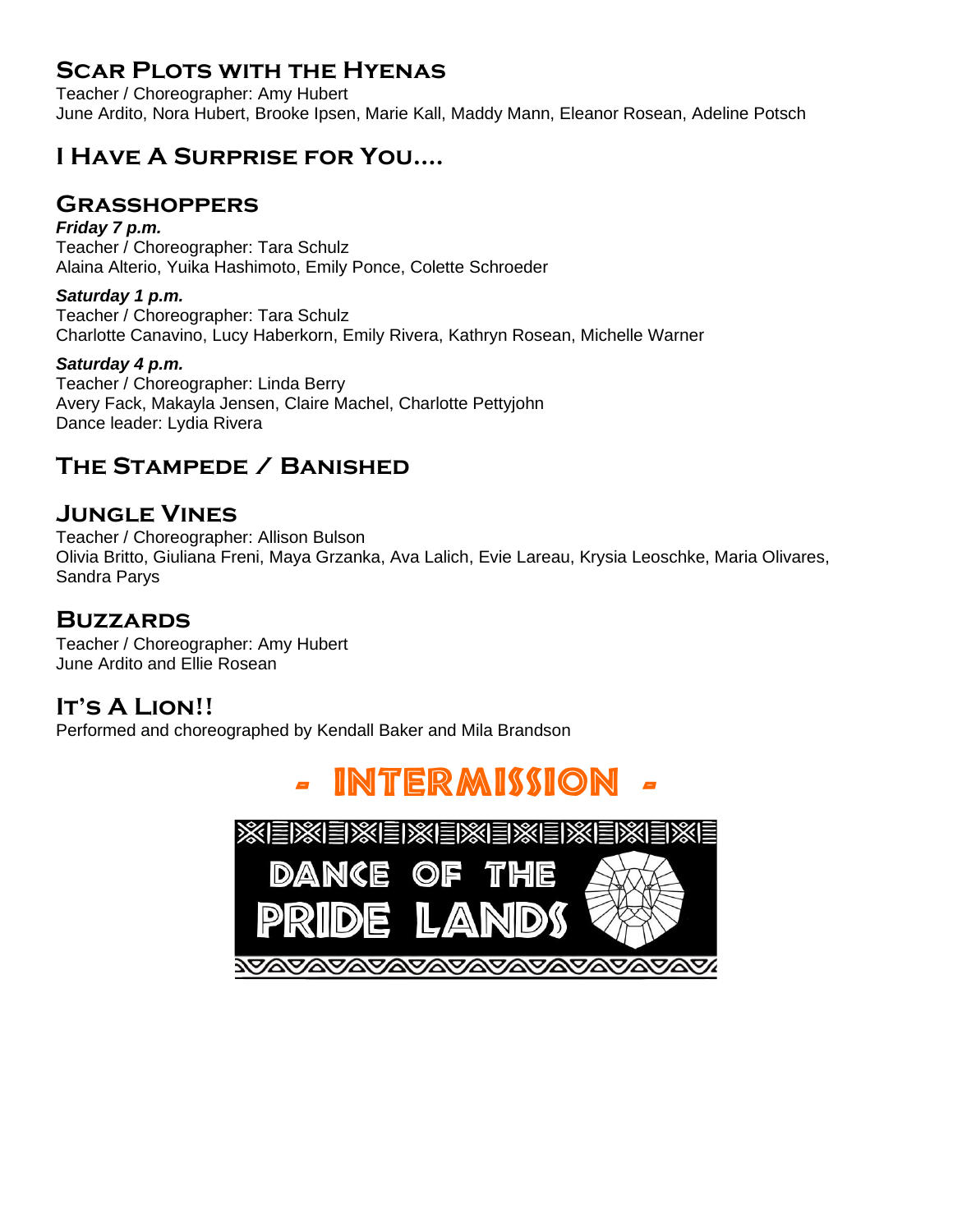# **Scar Plots with the Hyenas**

Teacher / Choreographer: Amy Hubert June Ardito, Nora Hubert, Brooke Ipsen, Marie Kall, Maddy Mann, Eleanor Rosean, Adeline Potsch

# **I Have A Surprise for You….**

# **Grasshoppers**

*Friday 7 p.m.* Teacher / Choreographer: Tara Schulz Alaina Alterio, Yuika Hashimoto, Emily Ponce, Colette Schroeder

*Saturday 1 p.m.*

Teacher / Choreographer: Tara Schulz Charlotte Canavino, Lucy Haberkorn, Emily Rivera, Kathryn Rosean, Michelle Warner

#### *Saturday 4 p.m.*

Teacher / Choreographer: Linda Berry Avery Fack, Makayla Jensen, Claire Machel, Charlotte Pettyjohn Dance leader: Lydia Rivera

# **The Stampede / Banished**

# **Jungle Vines**

Teacher / Choreographer: Allison Bulson Olivia Britto, Giuliana Freni, Maya Grzanka, Ava Lalich, Evie Lareau, Krysia Leoschke, Maria Olivares, Sandra Parys

### **Buzzards**

Teacher / Choreographer: Amy Hubert June Ardito and Ellie Rosean

# **It's A Lion!!**

Performed and choreographed by Kendall Baker and Mila Brandson

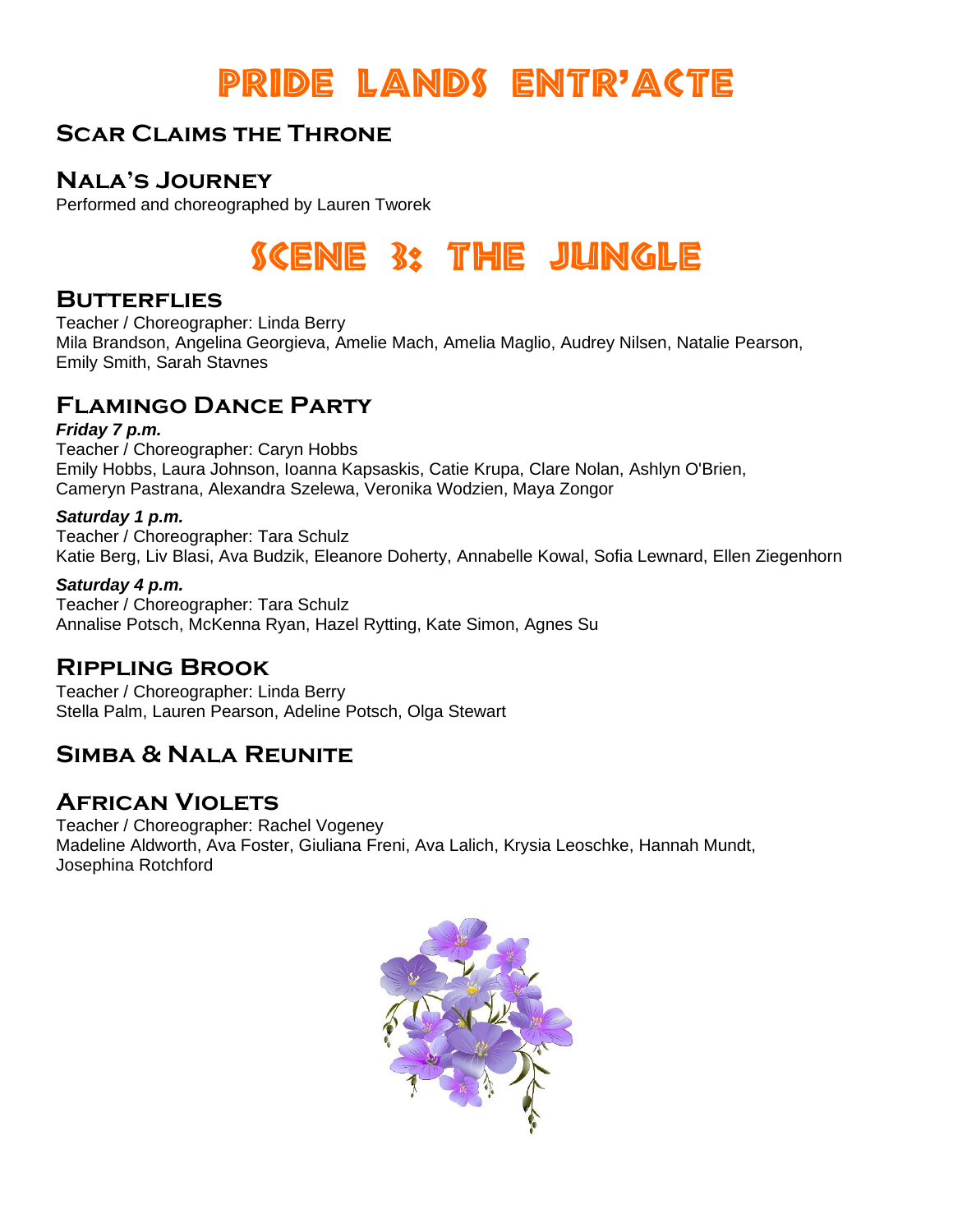# Pride Lands ENTR'ACTE

# **Scar Claims the Throne**

# **Nala's Journey**

Performed and choreographed by Lauren Tworek

# SCENE 3: THE JUNGLE

#### **Butterflies**

Teacher / Choreographer: Linda Berry Mila Brandson, Angelina Georgieva, Amelie Mach, Amelia Maglio, Audrey Nilsen, Natalie Pearson, Emily Smith, Sarah Stavnes

# **Flamingo Dance Party**

#### *Friday 7 p.m.*

Teacher / Choreographer: Caryn Hobbs Emily Hobbs, Laura Johnson, Ioanna Kapsaskis, Catie Krupa, Clare Nolan, Ashlyn O'Brien, Cameryn Pastrana, Alexandra Szelewa, Veronika Wodzien, Maya Zongor

#### *Saturday 1 p.m.*

Teacher / Choreographer: Tara Schulz Katie Berg, Liv Blasi, Ava Budzik, Eleanore Doherty, Annabelle Kowal, Sofia Lewnard, Ellen Ziegenhorn

#### *Saturday 4 p.m.*

Teacher / Choreographer: Tara Schulz Annalise Potsch, McKenna Ryan, Hazel Rytting, Kate Simon, Agnes Su

# **Rippling Brook**

Teacher / Choreographer: Linda Berry Stella Palm, Lauren Pearson, Adeline Potsch, Olga Stewart

# **Simba & Nala Reunite**

# **African Violets**

Teacher / Choreographer: Rachel Vogeney Madeline Aldworth, Ava Foster, Giuliana Freni, Ava Lalich, Krysia Leoschke, Hannah Mundt, Josephina Rotchford

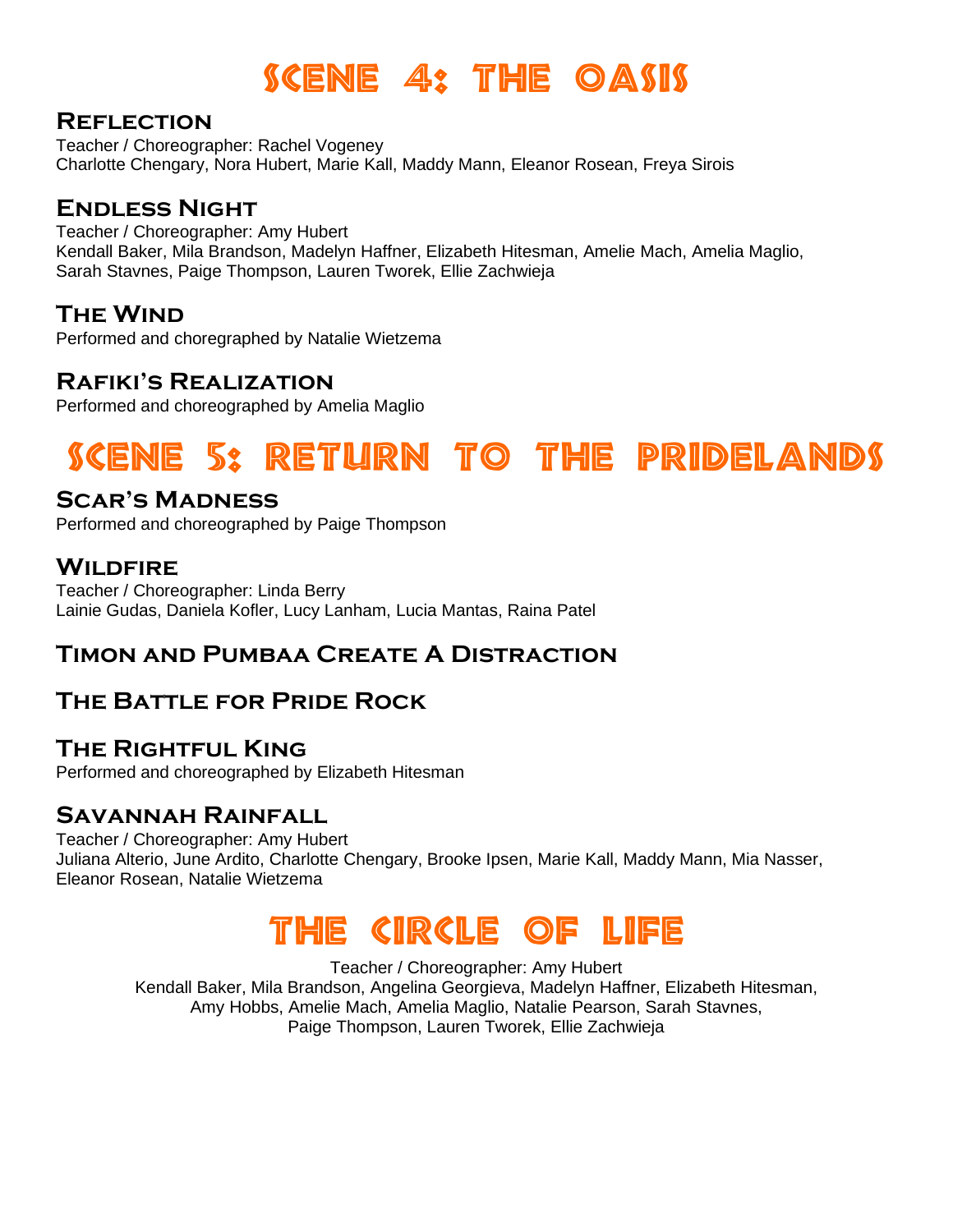# SCENE 4: THE OASIS

### **Reflection**

Teacher / Choreographer: Rachel Vogeney Charlotte Chengary, Nora Hubert, Marie Kall, Maddy Mann, Eleanor Rosean, Freya Sirois

# **Endless Night**

Teacher / Choreographer: Amy Hubert Kendall Baker, Mila Brandson, Madelyn Haffner, Elizabeth Hitesman, Amelie Mach, Amelia Maglio, Sarah Stavnes, Paige Thompson, Lauren Tworek, Ellie Zachwieja

# **The Wind**

Performed and choregraphed by Natalie Wietzema

# **Rafiki's Realization**

Performed and choreographed by Amelia Maglio

# SCENE 5: RETURN TO THE PRIDELANDS

### **Scar's Madness**

Performed and choreographed by Paige Thompson

### **WILDFIRE**

Teacher / Choreographer: Linda Berry Lainie Gudas, Daniela Kofler, Lucy Lanham, Lucia Mantas, Raina Patel

# **Timon and Pumbaa Create A Distraction**

# **The Battle for Pride Rock**

# **The Rightful King**

Performed and choreographed by Elizabeth Hitesman

# **Savannah Rainfall**

Teacher / Choreographer: Amy Hubert Juliana Alterio, June Ardito, Charlotte Chengary, Brooke Ipsen, Marie Kall, Maddy Mann, Mia Nasser, Eleanor Rosean, Natalie Wietzema

# THE CIRCLE OF LIFE

Teacher / Choreographer: Amy Hubert Kendall Baker, Mila Brandson, Angelina Georgieva, Madelyn Haffner, Elizabeth Hitesman, Amy Hobbs, Amelie Mach, Amelia Maglio, Natalie Pearson, Sarah Stavnes, Paige Thompson, Lauren Tworek, Ellie Zachwieja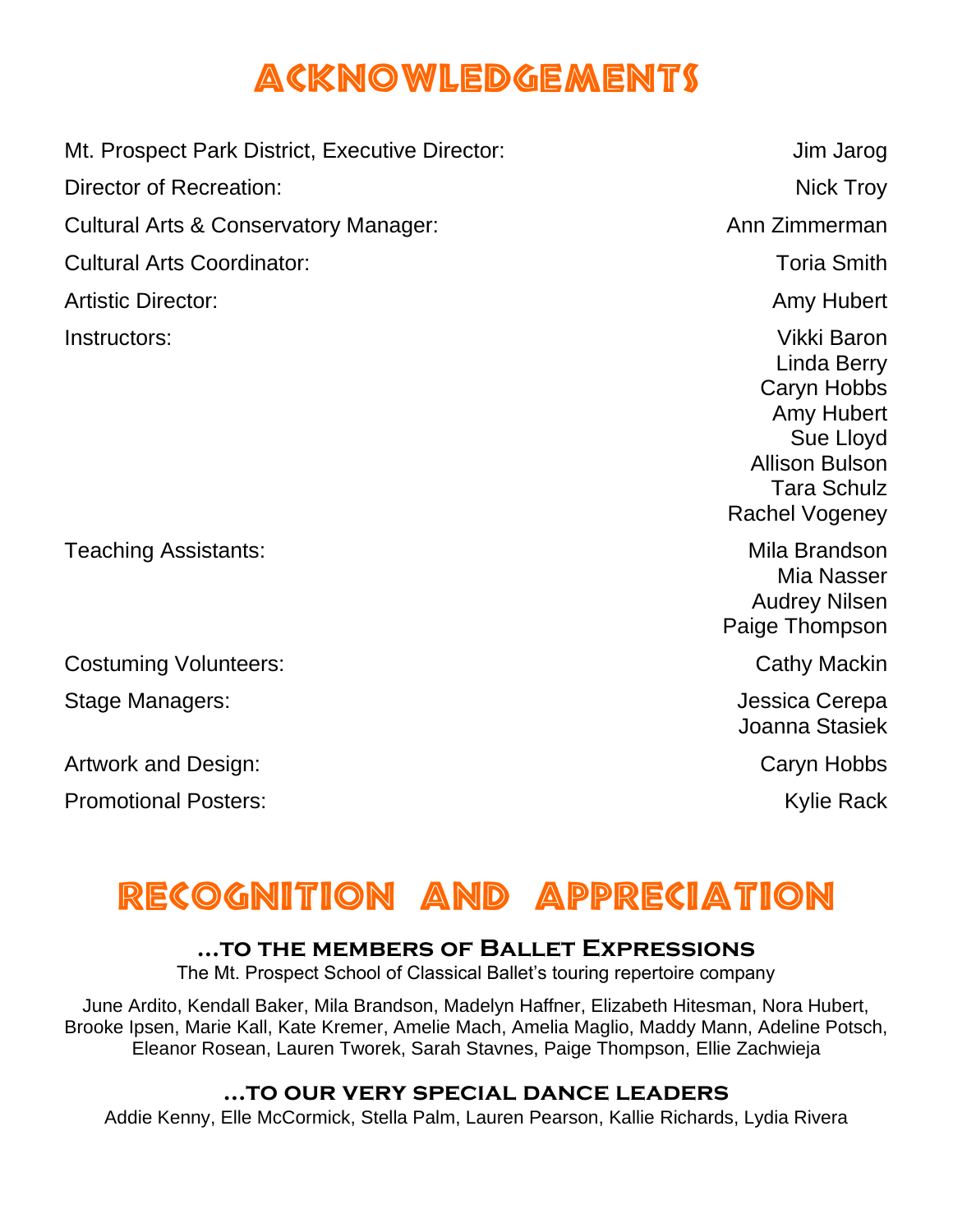# **ACKNOWLEDGEMENTS**

Mt. Prospect Park District, Executive Director: Jim Jarog **Director of Recreation:** Nick Troy Cultural Arts & Conservatory Manager: Cultural Arts & Conservatory Manager: Ann Zimmerman Cultural Arts Coordinator: Cultural Arts Coordinator: Artistic Director: **Amy Hubert** Amy Hubert Amy Hubert Instructors: Vikki Baron Linda Berry Caryn Hobbs Amy Hubert Sue Lloyd Allison Bulson Tara Schulz Rachel Vogeney Teaching Assistants: Teaching Assistants: Teaching Assistants: Teaching Assistants: Teaching Assistants: Teaching Assistants: Teaching Assistants: Teaching Assistants: Teaching Assistants: Teaching Assistants: Teaching Ass Mia Nasser Audrey Nilsen Paige Thompson Costuming Volunteers: Costuming Volunteers: Costuming Volunteers: Stage Managers:  $\qquad \qquad$ Stage Managers:  $\qquad \qquad$ Joanna Stasiek Artwork and Design: Caryn Hobbs Promotional Posters: We are a set of the contract of the contract of the contract of the contract of the Rack

# RECOGNITION AND APPRECIATION

#### **...to the members of Ballet Expressions**

The Mt. Prospect School of Classical Ballet's touring repertoire company

June Ardito, Kendall Baker, Mila Brandson, Madelyn Haffner, Elizabeth Hitesman, Nora Hubert, Brooke Ipsen, Marie Kall, Kate Kremer, Amelie Mach, Amelia Maglio, Maddy Mann, Adeline Potsch, Eleanor Rosean, Lauren Tworek, Sarah Stavnes, Paige Thompson, Ellie Zachwieja

### **…to our very special dance leaders**

Addie Kenny, Elle McCormick, Stella Palm, Lauren Pearson, Kallie Richards, Lydia Rivera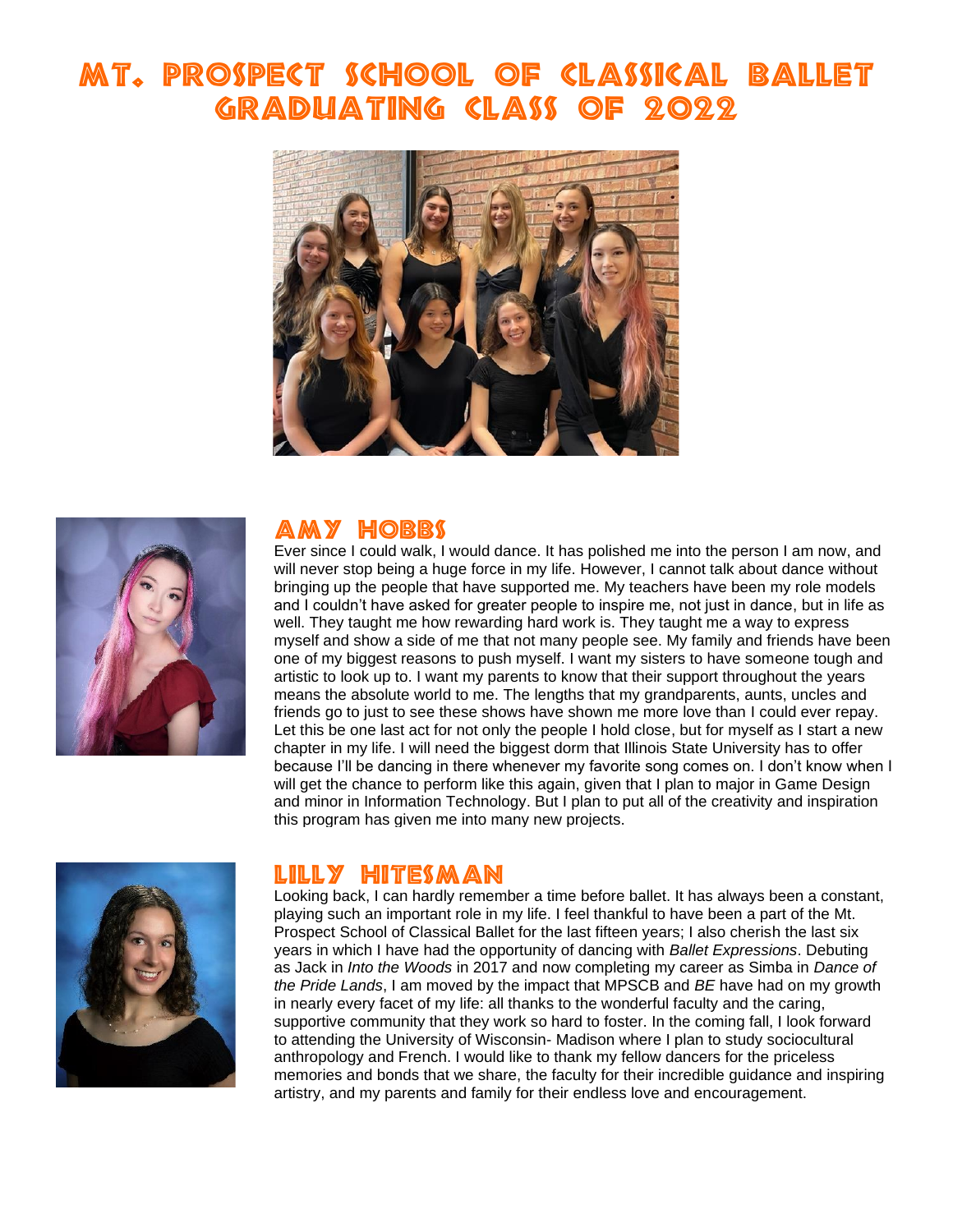# Mt. Prospect School of Classical Ballet Graduating Class OF 2022





### AMY HOBBS

Ever since I could walk, I would dance. It has polished me into the person I am now, and will never stop being a huge force in my life. However, I cannot talk about dance without bringing up the people that have supported me. My teachers have been my role models and I couldn't have asked for greater people to inspire me, not just in dance, but in life as well. They taught me how rewarding hard work is. They taught me a way to express myself and show a side of me that not many people see. My family and friends have been one of my biggest reasons to push myself. I want my sisters to have someone tough and artistic to look up to. I want my parents to know that their support throughout the years means the absolute world to me. The lengths that my grandparents, aunts, uncles and friends go to just to see these shows have shown me more love than I could ever repay. Let this be one last act for not only the people I hold close, but for myself as I start a new chapter in my life. I will need the biggest dorm that Illinois State University has to offer because I'll be dancing in there whenever my favorite song comes on. I don't know when I will get the chance to perform like this again, given that I plan to major in Game Design and minor in Information Technology. But I plan to put all of the creativity and inspiration this program has given me into many new projects.



### LILLY HITESMAN

Looking back, I can hardly remember a time before ballet. It has always been a constant, playing such an important role in my life. I feel thankful to have been a part of the Mt. Prospect School of Classical Ballet for the last fifteen years; I also cherish the last six years in which I have had the opportunity of dancing with *Ballet Expressions*. Debuting as Jack in *Into the Woods* in 2017 and now completing my career as Simba in *Dance of the Pride Lands*, I am moved by the impact that MPSCB and *BE* have had on my growth in nearly every facet of my life: all thanks to the wonderful faculty and the caring, supportive community that they work so hard to foster. In the coming fall, I look forward to attending the University of Wisconsin- Madison where I plan to study sociocultural anthropology and French. I would like to thank my fellow dancers for the priceless memories and bonds that we share, the faculty for their incredible guidance and inspiring artistry, and my parents and family for their endless love and encouragement.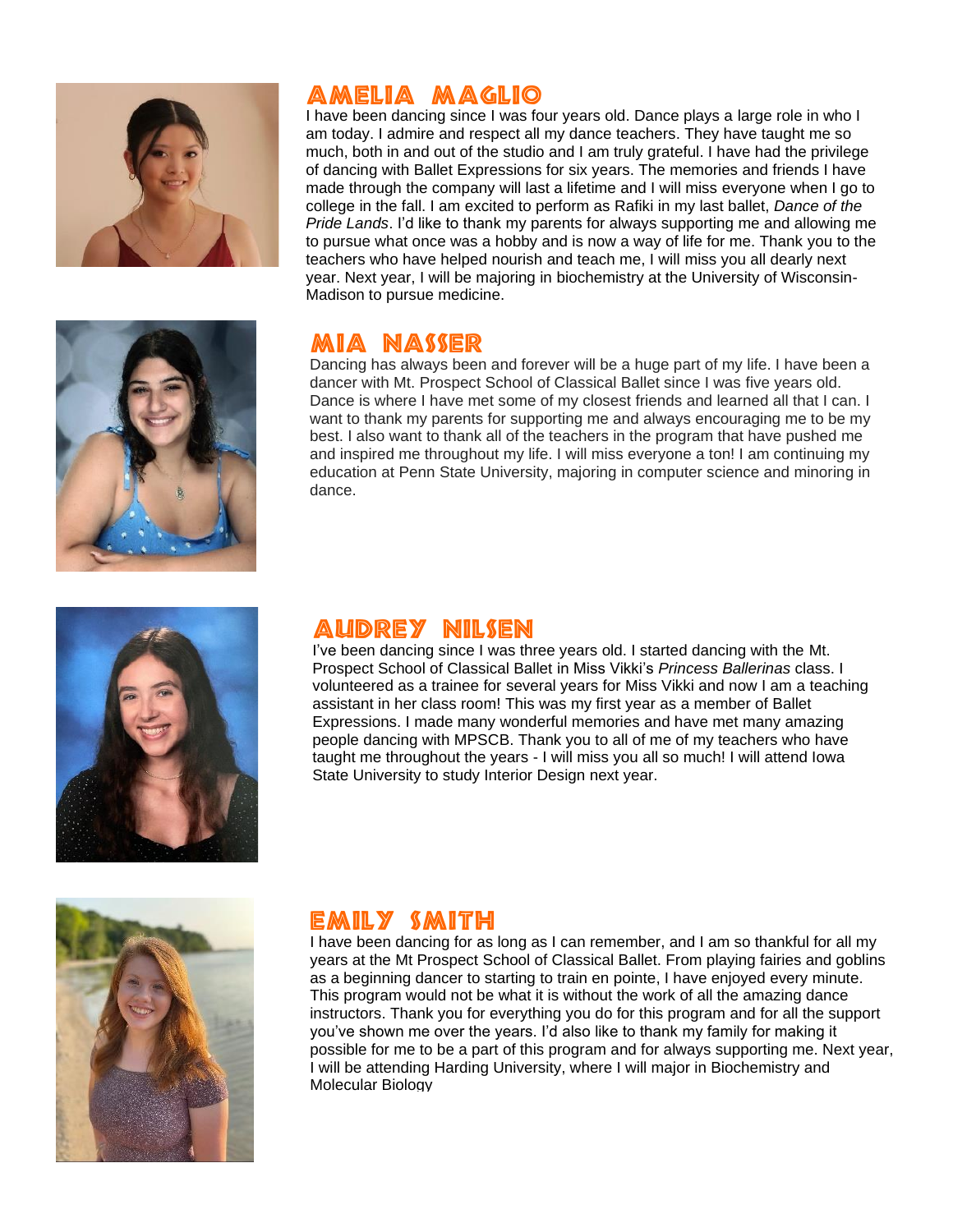



# Amelia Maglio

I have been dancing since I was four years old. Dance plays a large role in who I am today. I admire and respect all my dance teachers. They have taught me so much, both in and out of the studio and I am truly grateful. I have had the privilege of dancing with Ballet Expressions for six years. The memories and friends I have made through the company will last a lifetime and I will miss everyone when I go to college in the fall. I am excited to perform as Rafiki in my last ballet, *Dance of the Pride Lands*. I'd like to thank my parents for always supporting me and allowing me to pursue what once was a hobby and is now a way of life for me. Thank you to the teachers who have helped nourish and teach me, I will miss you all dearly next year. Next year, I will be majoring in biochemistry at the University of Wisconsin-Madison to pursue medicine.

# MIA NASSER

Dancing has always been and forever will be a huge part of my life. I have been a dancer with Mt. Prospect School of Classical Ballet since I was five years old. Dance is where I have met some of my closest friends and learned all that I can. I want to thank my parents for supporting me and always encouraging me to be my best. I also want to thank all of the teachers in the program that have pushed me and inspired me throughout my life. I will miss everyone a ton! I am continuing my education at Penn State University, majoring in computer science and minoring in dance.



# Audrey Nilsen

I've been dancing since I was three years old. I started dancing with the Mt. Prospect School of Classical Ballet in Miss Vikki's *Princess Ballerinas* class. I volunteered as a trainee for several years for Miss Vikki and now I am a teaching assistant in her class room! This was my first year as a member of Ballet Expressions. I made many wonderful memories and have met many amazing people dancing with MPSCB. Thank you to all of me of my teachers who have taught me throughout the years - I will miss you all so much! I will attend Iowa State University to study Interior Design next year.



# Emily Smith

I have been dancing for as long as I can remember, and I am so thankful for all my years at the Mt Prospect School of Classical Ballet. From playing fairies and goblins as a beginning dancer to starting to train en pointe, I have enjoyed every minute. This program would not be what it is without the work of all the amazing dance instructors. Thank you for everything you do for this program and for all the support you've shown me over the years. I'd also like to thank my family for making it possible for me to be a part of this program and for always supporting me. Next year, I will be attending Harding University, where I will major in Biochemistry and Molecular Biology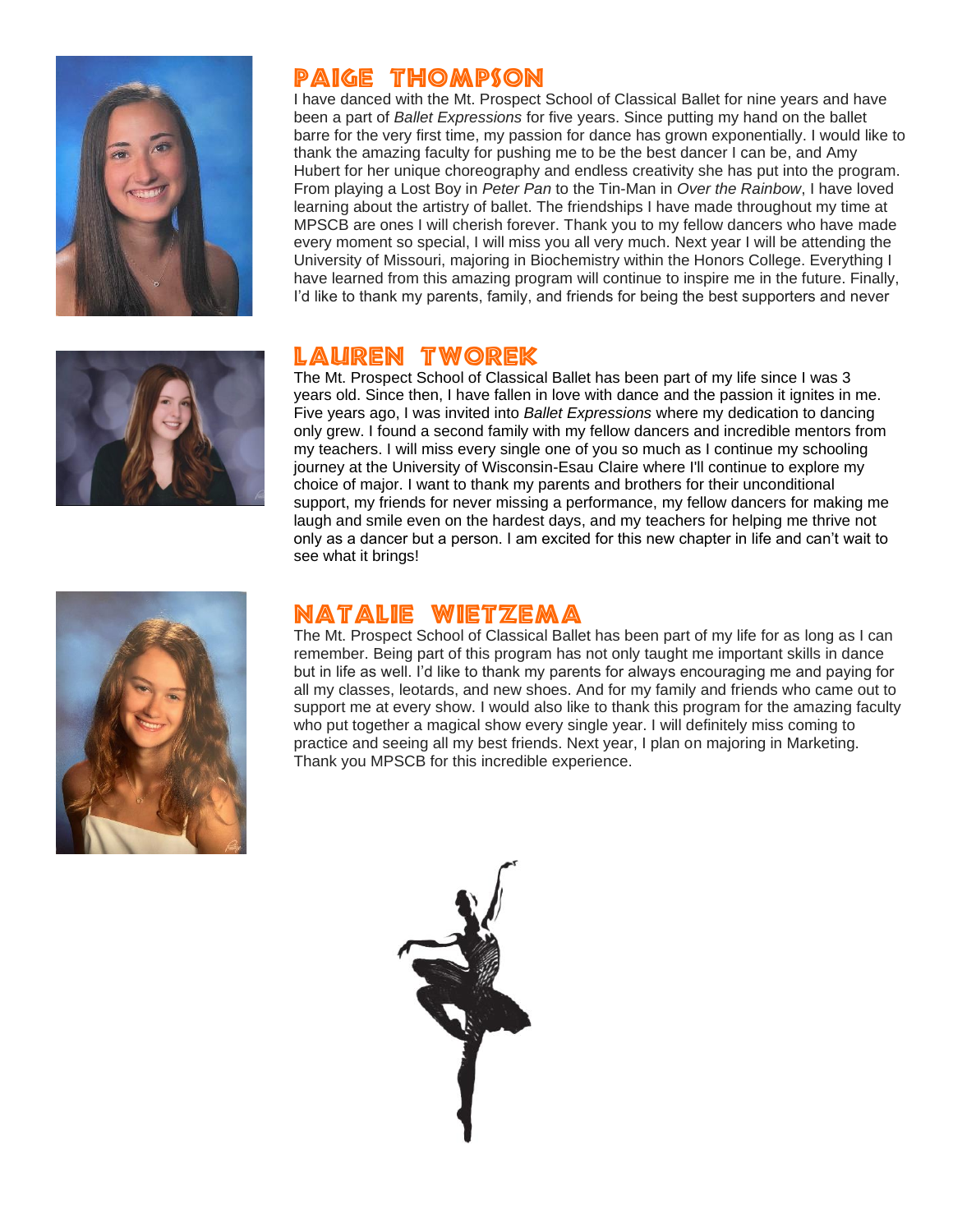

# Paige Thompson

I have danced with the Mt. Prospect School of Classical Ballet for nine years and have been a part of *Ballet Expressions* for five years. Since putting my hand on the ballet barre for the very first time, my passion for dance has grown exponentially. I would like to thank the amazing faculty for pushing me to be the best dancer I can be, and Amy Hubert for her unique choreography and endless creativity she has put into the program. From playing a Lost Boy in *Peter Pan* to the Tin-Man in *Over the Rainbow*, I have loved learning about the artistry of ballet. The friendships I have made throughout my time at MPSCB are ones I will cherish forever. Thank you to my fellow dancers who have made every moment so special, I will miss you all very much. Next year I will be attending the University of Missouri, majoring in Biochemistry within the Honors College. Everything I have learned from this amazing program will continue to inspire me in the future. Finally, I'd like to thank my parents, family, and friends for being the best supporters and never



### Lauren Tworek

The Mt. Prospect School of Classical Ballet has been part of my life since I was 3 years old. Since then, I have fallen in love with dance and the passion it ignites in me. Five years ago, I was invited into *Ballet Expressions* where my dedication to dancing only grew. I found a second family with my fellow dancers and incredible mentors from my teachers. I will miss every single one of you so much as I continue my schooling journey at the University of Wisconsin-Esau Claire where I'll continue to explore my choice of major. I want to thank my parents and brothers for their unconditional support, my friends for never missing a performance, my fellow dancers for making me laugh and smile even on the hardest days, and my teachers for helping me thrive not only as a dancer but a person. I am excited for this new chapter in life and can't wait to see what it brings!



## Natalie Wietzema

The Mt. Prospect School of Classical Ballet has been part of my life for as long as I can remember. Being part of this program has not only taught me important skills in dance but in life as well. I'd like to thank my parents for always encouraging me and paying for all my classes, leotards, and new shoes. And for my family and friends who came out to support me at every show. I would also like to thank this program for the amazing faculty who put together a magical show every single year. I will definitely miss coming to practice and seeing all my best friends. Next year, I plan on majoring in Marketing. Thank you MPSCB for this incredible experience.

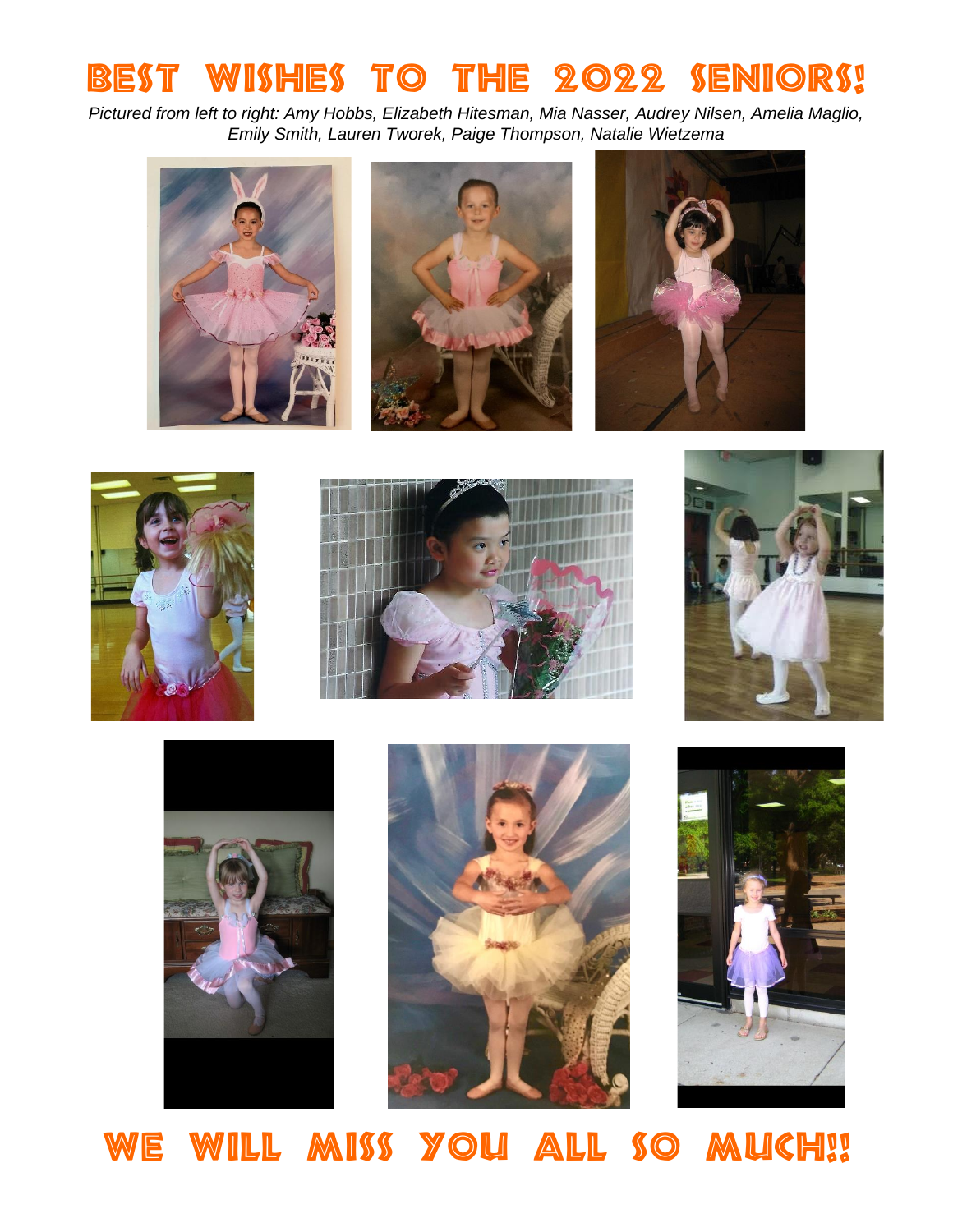# Best Wishes to the 2022 Seniors!

*Pictured from left to right: Amy Hobbs, Elizabeth Hitesman, Mia Nasser, Audrey Nilsen, Amelia Maglio, Emily Smith, Lauren Tworek, Paige Thompson, Natalie Wietzema*



















WE WILL MISS YOU ALL SO MUCH!!